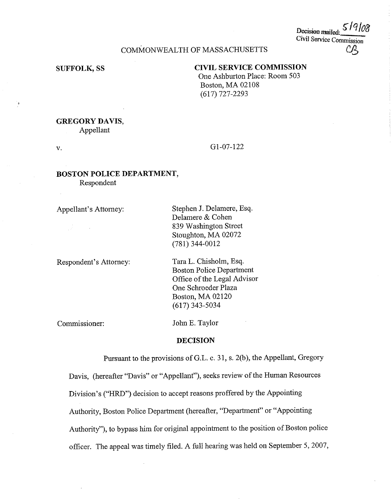Decision mailed Civil Service Commission  $C\!E$ 

## COMMONWEALTH OF MASSACHUSETTS

## **SUFFOLK, SS CIVIL SERVICE COMMISSION**

One Ashburton Place: Room 503 Boston, MA 02108 (617) 727-2293

# **GREGORY DAVIS,**

Appellant

V. Gl-07-122

### **BOSTON POLICE DEPARTMENT,**  Respondent

Appellant's Attorney:

Respondent's Attorney:

Stephen J. Delamere, Esq. Delamere & Cohen 839 Washington Street Stoughton, MA 02072 (781) 344-0012

Tara L. Chisholm, Esq. Boston Police Department Office of the Legal Advisor One Schroeder Plaza Boston, MA 02120 (617) 343-5034

Commissioner:

John E. Taylor

#### **DECISION**

Pursuant to the provisions ofG.L. c. 31, s. 2(b), the Appellant, Gregory Davis, (hereafter "Davis" or "Appellant"), seeks review of the Human Resources Division's ("HRD") decision to accept reasons proffered by the Appointing Authority, Boston Police Department (hereafter, "Department" or "Appointing Authority"), to bypass him for original appointment to the position of Boston police officer. The appeal was timely filed. A full hearing was held on September 5, 2007,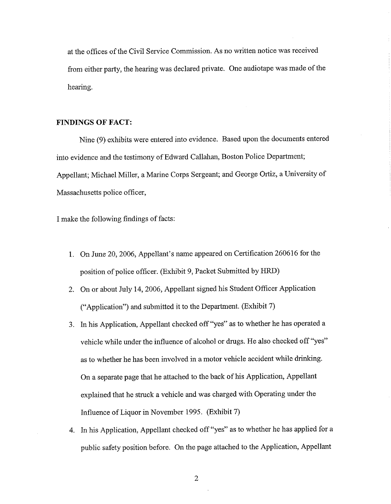at the offices of the Civil Service Commission. As no written notice was received from either party, the hearing was declared private. One audiotape was made of the hearing.

#### **FINDINGS OF FACT:**

Nine (9) exhibits were entered into evidence. Based upon the documents entered into evidence and the testimony of Edward Callahan, Boston Police Department; Appellant; Michael Miller, a Marine Corps Sergeant; and George Ortiz, a University of Massachusetts police officer,

I make the following findings of facts:

- I. On June 20, 2006, Appellant's name appeared on Certification 260616 for the position of police officer. (Exhibit 9, Packet Submitted by HRD)
- 2. On or about July 14, 2006, Appellant signed his Student Officer Application ("Application") and submitted it to the Department. (Exhibit 7)
- 3. In his Application, Appellant checked off"yes" as to whether he has operated a vehicle while under the influence of alcohol or drugs. He also checked off "yes" as to whether he has been involved in a motor vehicle accident while drinking. On a separate page that he attached to the back of his Application, Appellant explained that he struck a vehicle and was charged with Operating under the Influence of Liquor in November 1995. (Exhibit 7)
- 4. In his Application, Appellant checked off"yes" as to whether he has applied for a public safety position before. On the page attached to the Application, Appellant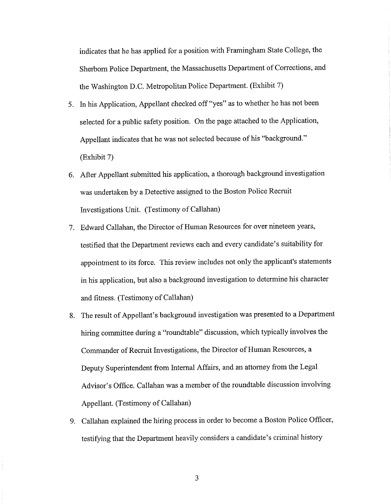indicates that he has applied for a position with Framingham State College, the Sherborn Police Department, the Massachusetts Department of Corrections, and the Washington D.C. Metropolitan Police Department. (Exhibit 7)

- 5. In his Application, Appellant checked off"yes" as to whether he has not been selected for a public safety position. On the page attached to the Application, Appellant indicates that he was not selected because of his "background." (Exhibit 7)
- 6. After Appellant submitted his application, a thorough background investigation was undertaken by a Detective assigned to the Boston Police Recruit Investigations Unit. (Testimony of Callahan)
- 7. Edward Callahan, the Director of Human Resources for over nineteen years, testified that the Department reviews each and every candidate's suitability for appointment to its force. This review includes not only the applicant's statements in his application, but also a background investigation to determine his character and fitness. (Testimony of Callahan)
- 8. The result of Appellant's background investigation was presented to a Department hiring committee during a "roundtable" discussion, which typically involves the Commander of Recruit Investigations, the Director of Human Resources, a Deputy Superintendent from Internal Affairs, and an attorney from the Legal Advisor's Office. Callahan was a member of the roundtable discussion involving Appellant. (Testimony of Callahan)
- 9. Callahan explained the hiring process in order to become a Boston Police Officer, testifying that the Department heavily considers a candidate's criminal history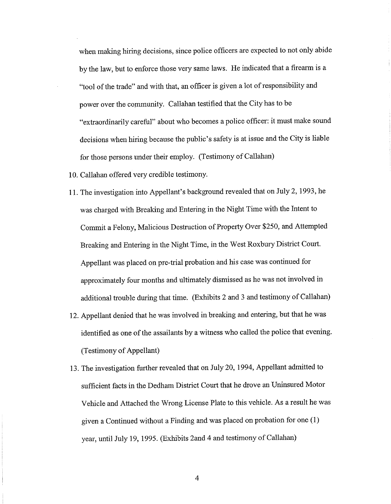when making hiring decisions, since police officers are expected to not only abide by the law, but to enforce those very same laws. He indicated that a firearm is a "tool of the trade" and with that, an officer is given a lot of responsibility and power over the community. Callahan testified that the City has to be "extraordinarily careful" about who becomes a police officer: it must make sound decisions when hiring because the public's safety is at issue and the City is liable for those persons under their employ. (Testimony of Callahan)

- 10. Callahan offered very credible testimony.
- I I. The investigation into Appellant's background revealed that on July 2, 1993, he was charged with Breaking and Entering in the Night Time with the Intent to Commit a Felony, Malicious Destruction of Property Over \$250, and Attempted Breaking and Entering in the Night Time, in the West Roxbury District Court. Appellant was placed on pre-trial probation and his case was continued for approximately four months and ultimately dismissed as he was not involved in additional trouble during that time. (Exhibits 2 and 3 and testimony of Callahan)
- 12. Appellant denied that he was involved in breaking and entering, but that he was identified as one of the assailants by a witness who called the police that evening. (Testimony of Appellant)
- 13. The investigation further revealed that on July 20, 1994, Appellant admitted to sufficient facts in the Dedham District Court that he drove an Uninsured Motor Vehicle and Attached the Wrong License Plate to this vehicle. As a result he was given a Continued without a Finding and was placed on probation for one (1) year, until July 19, 1995. (Exhibits Zand 4 and testimony of Callahan)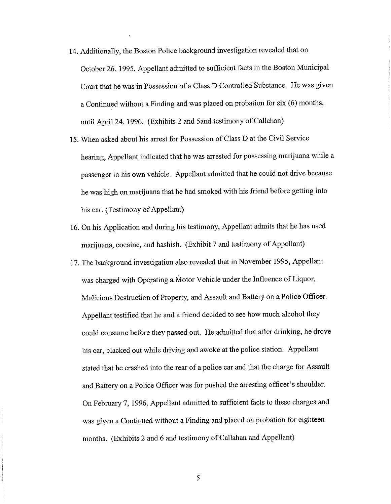- 14. Additionally, the Boston Police background investigation revealed that on October 26, 1995, Appellant admitted to sufficient facts in the Boston Municipal Court that he was in Possession of a Class D Controlled Substance. He was given a Continued without a Finding and was placed on probation for six (6) months, until April 24, 1996. (Exhibits 2 and Sand testimony of Callahan)
- 15. When asked about his arrest for Possession of Class D at the Civil Service hearing, Appellant indicated that he was arrested for possessing marijuana while a passenger in his own vehicle. Appellant admitted that he could not drive because he was high on marijuana that he had smoked with his friend before getting into his car. (Testimony of Appellant)
- 16. On his Application and during his testimony, Appellant admits that he has used marijuana, cocaine, and hashish. (Exhibit 7 and testimony of Appellant)
- 17. The background investigation also revealed that in November 1995, Appellant was charged with Operating a Motor Vehicle under the Influence of Liquor, Malicious Destruction of Property, and Assault and Battery on a Police Officer. Appellant testified that he and a friend decided to see how much alcohol they could consume before they passed out. He admitted that after drinking, he drove his car, blacked out while driving and awoke at the police station. Appellant stated that he crashed into the rear of a police car and that the charge for Assault and Battery on a Police Officer was for pushed the arresting officer's shoulder. On February 7, 1996, Appellant admitted to sufficient facts to these charges and was given a Continued without a Finding and placed on probation for eighteen months. (Exhibits 2 and 6 and testimony of Callahan and Appellant)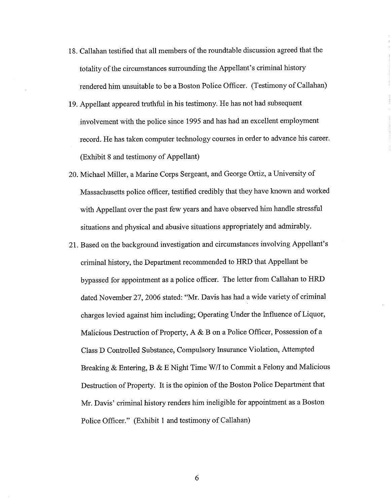- 18. Callahan testified that all members of the roundtable discussion agreed that the totality of the circumstances surrounding the Appellant's criminal history rendered him unsuitable to be a Boston Police Officer. (Testimony of Callahan)
- 19. Appellant appeared truthful in his testimony. He has not had subsequent involvement with the police since 1995 and has had an excellent employment record. He has taken computer technology courses in order to advance his career. (Exhibit 8 and testimony of Appellant)
- 20. Michael Miller, a Marine Corps Sergeant, and George Ortiz, a University of Massachusetts police officer, testified credibly that they have known and worked with Appellant over the past few years and have observed him handle stressful situations and physical and abusive situations appropriately and admirably.
- 21. Based on the background investigation and circumstances involving Appellant's criminal history, the Department recommended to HRD that Appellant be bypassed for appointment as a police officer. The letter from Callahan to HRD dated November 27, 2006 stated: "Mr. Davis has had a wide variety of criminal charges levied against him including; Operating Under the Influence of Liquor, Malicious Destruction of Property,  $A \& B$  on a Police Officer, Possession of a Class D Controlled Substance, Compulsory Insurance Violation, Attempted Breaking & Entering, B & E Night Time W/I to Commit a Felony and Malicious Destruction of Property. It is the opinion of the Boston Police Department that Mr. Davis' criminal history renders him ineligible for appointment as a Boston Police Officer." (Exhibit 1 and testimony of Callahan)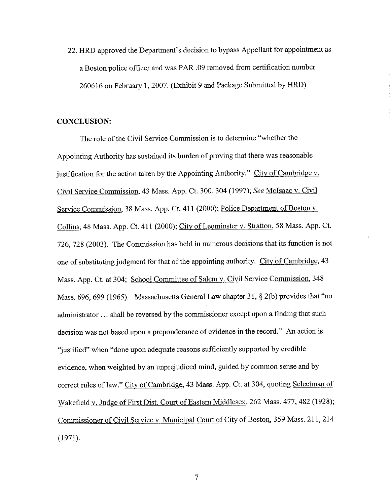22. HRD approved the Department's decision to bypass Appellant for appointment as a Boston police officer and was PAR .09 removed from certification number 260616 on February **1,** 2007. (Exhibit 9 and Package Submitted by HRD)

#### **CONCLUSION:**

The role of the Civil Service Commission is to determine "whether the Appointing Authority has sustained its burden of proving that there was reasonable justification for the action taken by the Appointing Authority." City of Cambridge v. Civil Service Commission, 43 Mass. App. Ct. 300,304 (1997); *See* Mclsaac v. Civil Service Commission, 38 Mass. App. Ct. 411 (2000); Police Department of Boston v. Collins, 48 Mass. App. Ct. 411 (2000); City of Leominster v. Stratton, 58 Mass. App. Ct. 726, 728 (2003). The Commission has held in numerous decisions that its function is not one of substituting judgment for that of the appointing authority. City of Cambridge, 43 Mass. App. Ct. at 304; School Committee of Salem v. Civil Service Commission, 348 Mass. 696,699 (1965). Massachusetts General Law chapter 31, § 2(b) provides that "no administrator ... shall be reversed by the commissioner except upon a finding that such decision was not based upon a preponderance of evidence in the record." An action is "justified" when "done upon adequate reasons sufficiently supported by credible evidence, when weighted by an unprejudiced mind, guided by common sense and by correct rules of law." City of Cambridge, 43 Mass. App. Ct. at 304, quoting Selectman of Wakefield v. Judge of First Dist. Court of Eastern Middlesex, 262 Mass. 477,482 (1928); Commissioner of Civil Service v. Municipal Court of City of Boston, 359 Mass. 211,214 (1971).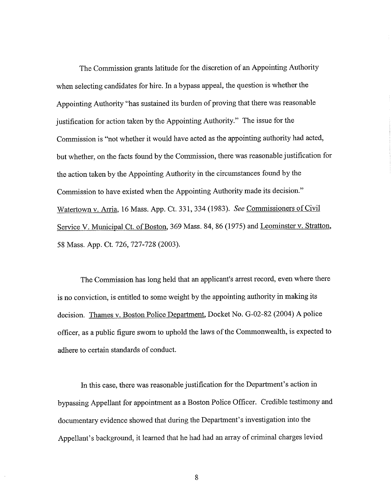The Commission grants latitude for the discretion of an Appointing Authority when selecting candidates for hire. In a bypass appeal, the question is whether the Appointing Authority "has sustained its burden of proving that there was reasonable justification for action taken by the Appointing Authority." The issue for the Commission is "not whether it would have acted as the appointing authority had acted, but whether, on the facts found by the Commission, there was reasonable justification for the action taken by the Appointing Authority in the circumstances found by the Commission to have existed when the Appointing Authority made its decision." Watertown v. Arria, 16 Mass. App. Ct. 331,334 (1983). *See* Commissioners of Civil Service V. Municipal Ct. of Boston, 369 Mass. 84, 86 (1975) and Leominster v. Stratton, 58 Mass. App. Ct. 726, 727-728 (2003).

The Commission has long held that an applicant's arrest record, even where there is no conviction, is entitled to some weight by the appointing authority in making its decision. Thames v. Boston Police Department, Docket No. G-02-82 (2004) A police officer, as a public figure sworn to uphold the laws of the Commonwealth, is expected to adhere to certain standards of conduct.

In this case, there was reasonable justification for the Department's action in bypassing Appellant for appointment as a Boston Police Officer. Credible testimony and documentary evidence showed that during the Department's investigation into the Appellant's background, it learned that he had had an array of criminal charges levied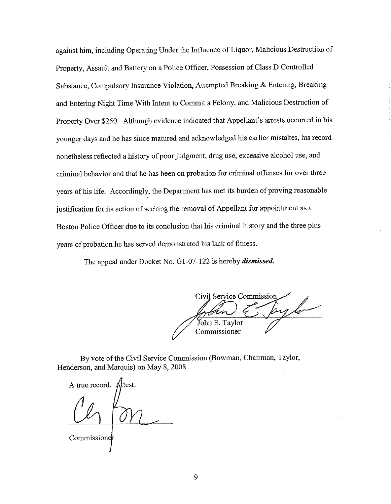against him, including Operating Under the Influence of Liquor, Malicious Destruction of Property, Assault and Battery on a Police Officer, Possession of Class D Controlled Substance, Compulsory Insurance Violation, Attempted Breaking & Entering, Breaking and Entering Night Time With Intent to Commit a Felony, and Malicious Destruction of Property Over \$250. Although evidence indicated that Appellant's arrests occurred in his younger days and he has since matured and acknowledged his earlier mistakes, his record nonetheless reflected a history of poor judgment, drug use, excessive alcohol use, and criminal behavior and that he has been on probation for criminal offenses for over three years of his life. Accordingly, the Department has met its burden of proving reasonable justification for its action of seeking the removal of Appellant for appointment as a Boston Police Officer due to its conclusion that his criminal history and the three plus years of probation he has served demonstrated his Jack of fitness.

The appeal under Docket No. Gl-07-122 is hereby *dismissed.* 

Civil Service Commission John E. Taylor Commissioner

By vote of the Civil Service Commission (Bowman, Chairman, Taylor, Henderson, and Marquis) on May 8, 2008

A true record. Attest:

**Commissione**